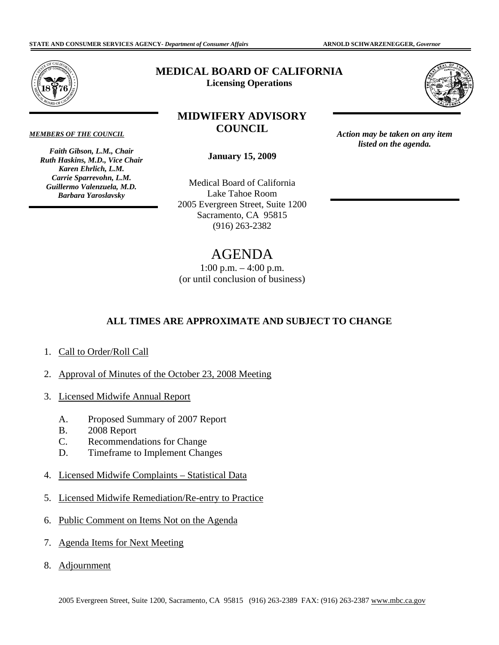

*MEMBERS OF THE COUNCIL* 

*Faith Gibson, L.M., Chair Ruth Haskins, M.D., Vice Chair Karen Ehrlich, L.M. Carrie Sparrevohn, L.M. Guillermo Valenzuela, M.D. Barbara Yaroslavsky* 

## **MEDICAL BOARD OF CALIFORNIA Licensing Operations**

## **MIDWIFERY ADVISORY COUNCIL**



*listed on the agenda.* 

**January 15, 2009** 

(916) 263-2382 Medical Board of California Lake Tahoe Room 2005 Evergreen Street, Suite 1200 Sacramento, CA 95815 Action may be taken on any item<br>
anuary 15, 2009<br>
al Board of California<br>
ake Tahoe Room<br>
rgreen Street, Suite 1200<br>
amento, CA 95815<br>
(916) 263-2382

## AGENDA

1:00 p.m. – 4:00 p.m. (or until conclusion of business)

## **ALL TIMES ARE APPROXIMATE AND SUBJECT TO CHANGE**

- 1. Call to Order/Roll Call
- 2. Approval of Minutes of the October 23, 2008 Meeting
- 3. Licensed Midwife Annual Report
	- A. Proposed Summary of 2007 Report
	- B. 2008 Report
	- C. Recommendations for Change
	- D. Timeframe to Implement Changes
- 4. Licensed Midwife Complaints Statistical Data
- 5. Licensed Midwife Remediation/Re-entry to Practice
- 6. Public Comment on Items Not on the Agenda
- 7. Agenda Items for Next Meeting
- 8. Adjournment